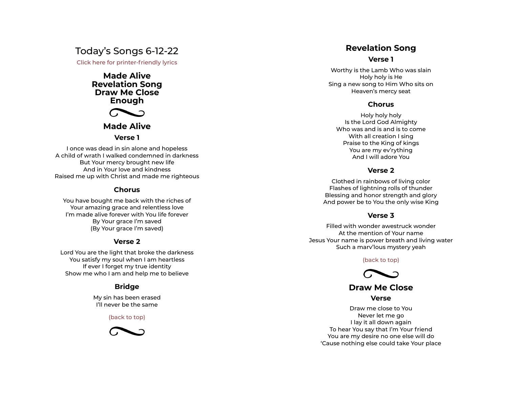# Today's Songs 6-12-22

Click here for printer-friendly lyrics

**Made Alive Revelation Song Draw Me Close Enough**



# **Made Alive**

#### **Verse 1**

I once was dead in sin alone and hopeless A child of wrath I walked condemned in darkness But Your mercy brought new life And in Your love and kindness Raised me up with Christ and made me righteous

## **Chorus**

You have bought me back with the riches of Your amazing grace and relentless love I'm made alive forever with You life forever By Your grace I'm saved (By Your grace I'm saved)

#### **Verse 2**

Lord You are the light that broke the darkness You satisfy my soul when I am heartless If ever I forget my true identity Show me who I am and help me to believe

# **Bridge**

My sin has been erased I'll never be the same

#### (back to top)



# **Revelation Song**

# **Verse 1**

Worthy is the Lamb Who was slain Holy holy is He Sing a new song to Him Who sits on Heaven's mercy seat

# **Chorus**

Holy holy holy Is the Lord God Almighty Who was and is and is to come With all creation I sing Praise to the King of kings You are my ev'rything And I will adore You

## **Verse 2**

Clothed in rainbows of living color Flashes of lightning rolls of thunder Blessing and honor strength and glory And power be to You the only wise King

## **Verse 3**

Filled with wonder awestruck wonder At the mention of Your name Jesus Your name is power breath and living water Such a marv'lous mystery yeah

#### (back to top)



**Draw Me Close**

### **Verse**

Draw me close to You Never let me go I lay it all down again To hear You say that I'm Your friend You are my desire no one else will do 'Cause nothing else could take Your place